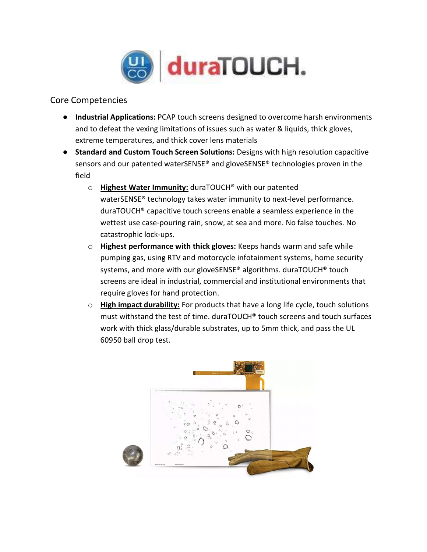

## Core Competencies

- Industrial Applications: PCAP touch screens designed to overcome harsh environments and to defeat the vexing limitations of issues such as water & liquids, thick gloves, extreme temperatures, and thick cover lens materials
- Standard and Custom Touch Screen Solutions: Designs with high resolution capacitive sensors and our patented waterSENSE® and gloveSENSE® technologies proven in the field
	- o Highest Water Immunity: duraTOUCH® with our patented waterSENSE® technology takes water immunity to next-level performance. duraTOUCH® capacitive touch screens enable a seamless experience in the wettest use case-pouring rain, snow, at sea and more. No false touches. No catastrophic lock-ups.
	- o Highest performance with thick gloves: Keeps hands warm and safe while pumping gas, using RTV and motorcycle infotainment systems, home security systems, and more with our gloveSENSE® algorithms. duraTOUCH® touch screens are ideal in industrial, commercial and institutional environments that require gloves for hand protection.
	- $\circ$  High impact durability: For products that have a long life cycle, touch solutions must withstand the test of time. duraTOUCH® touch screens and touch surfaces work with thick glass/durable substrates, up to 5mm thick, and pass the UL 60950 ball drop test.



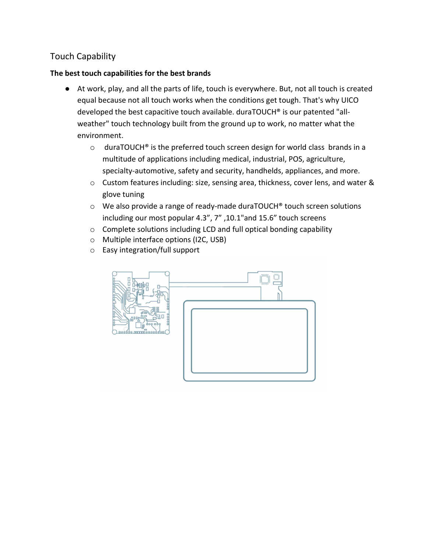## Touch Capability

## The best touch capabilities for the best brands

- At work, play, and all the parts of life, touch is everywhere. But, not all touch is created equal because not all touch works when the conditions get tough. That's why UICO developed the best capacitive touch available. duraTOUCH® is our patented "allweather" touch technology built from the ground up to work, no matter what the environment.
	- o duraTOUCH® is the preferred touch screen design for world class brands in a multitude of applications including medical, industrial, POS, agriculture, specialty-automotive, safety and security, handhelds, appliances, and more.
	- o Custom features including: size, sensing area, thickness, cover lens, and water & glove tuning
	- $\circ$  We also provide a range of ready-made duraTOUCH® touch screen solutions including our most popular 4.3", 7" ,10.1"and 15.6" touch screens
	- o Complete solutions including LCD and full optical bonding capability
	- o Multiple interface options (I2C, USB)
	- o Easy integration/full support

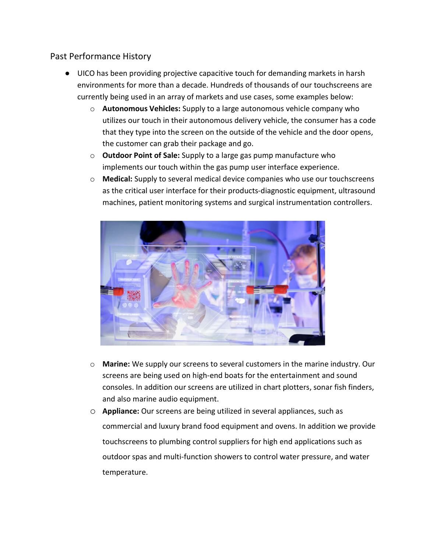## Past Performance History

- UICO has been providing projective capacitive touch for demanding markets in harsh environments for more than a decade. Hundreds of thousands of our touchscreens are currently being used in an array of markets and use cases, some examples below:
	- o Autonomous Vehicles: Supply to a large autonomous vehicle company who utilizes our touch in their autonomous delivery vehicle, the consumer has a code that they type into the screen on the outside of the vehicle and the door opens, the customer can grab their package and go.
	- $\circ$  Outdoor Point of Sale: Supply to a large gas pump manufacture who implements our touch within the gas pump user interface experience.
	- o Medical: Supply to several medical device companies who use our touchscreens as the critical user interface for their products-diagnostic equipment, ultrasound machines, patient monitoring systems and surgical instrumentation controllers.



- o Marine: We supply our screens to several customers in the marine industry. Our screens are being used on high-end boats for the entertainment and sound consoles. In addition our screens are utilized in chart plotters, sonar fish finders, and also marine audio equipment.
- o Appliance: Our screens are being utilized in several appliances, such as commercial and luxury brand food equipment and ovens. In addition we provide touchscreens to plumbing control suppliers for high end applications such as outdoor spas and multi-function showers to control water pressure, and water temperature.